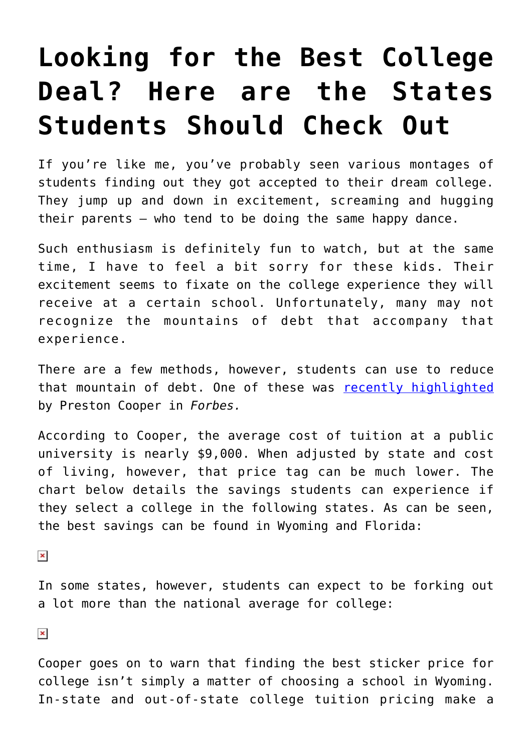## **[Looking for the Best College](https://intellectualtakeout.org/2017/06/looking-for-the-best-college-deal-here-are-the-states-students-should-check-out/) [Deal? Here are the States](https://intellectualtakeout.org/2017/06/looking-for-the-best-college-deal-here-are-the-states-students-should-check-out/) [Students Should Check Out](https://intellectualtakeout.org/2017/06/looking-for-the-best-college-deal-here-are-the-states-students-should-check-out/)**

If you're like me, you've probably seen various montages of students finding out they got accepted to their dream college. They jump up and down in excitement, screaming and hugging their parents – who tend to be doing the same happy dance.

Such enthusiasm is definitely fun to watch, but at the same time, I have to feel a bit sorry for these kids. Their excitement seems to fixate on the college experience they will receive at a certain school. Unfortunately, many may not recognize the mountains of debt that accompany that experience.

There are a few methods, however, students can use to reduce that mountain of debt. One of these was [recently highlighted](https://www.forbes.com/sites/prestoncooper2/2017/06/26/which-state-has-the-most-overpriced-college-tuition/#38e60ea73001) by Preston Cooper in *Forbes.*

According to Cooper, the average cost of tuition at a public university is nearly \$9,000. When adjusted by state and cost of living, however, that price tag can be much lower. The chart below details the savings students can experience if they select a college in the following states. As can be seen, the best savings can be found in Wyoming and Florida:

 $\pmb{\times}$ 

In some states, however, students can expect to be forking out a lot more than the national average for college:

 $\pmb{\times}$ 

Cooper goes on to warn that finding the best sticker price for college isn't simply a matter of choosing a school in Wyoming. In-state and out-of-state college tuition pricing make a